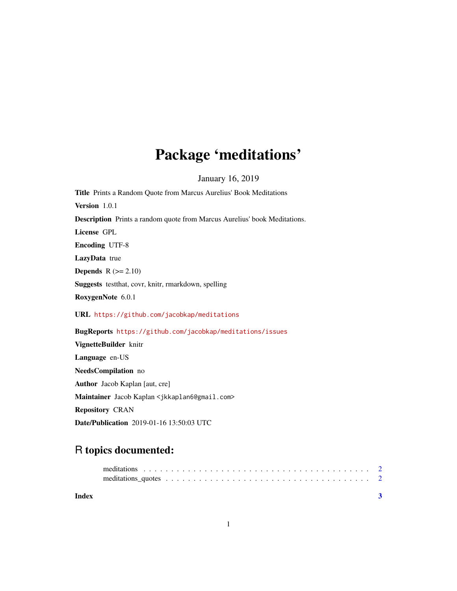## Package 'meditations'

January 16, 2019

Title Prints a Random Quote from Marcus Aurelius' Book Meditations Version 1.0.1 Description Prints a random quote from Marcus Aurelius' book Meditations. License GPL Encoding UTF-8 LazyData true **Depends**  $R$  ( $>= 2.10$ ) Suggests testthat, covr, knitr, rmarkdown, spelling RoxygenNote 6.0.1 URL <https://github.com/jacobkap/meditations> BugReports <https://github.com/jacobkap/meditations/issues> VignetteBuilder knitr Language en-US

NeedsCompilation no Author Jacob Kaplan [aut, cre] Maintainer Jacob Kaplan <jkkaplan6@gmail.com> Repository CRAN Date/Publication 2019-01-16 13:50:03 UTC

### R topics documented:

| Index |  |
|-------|--|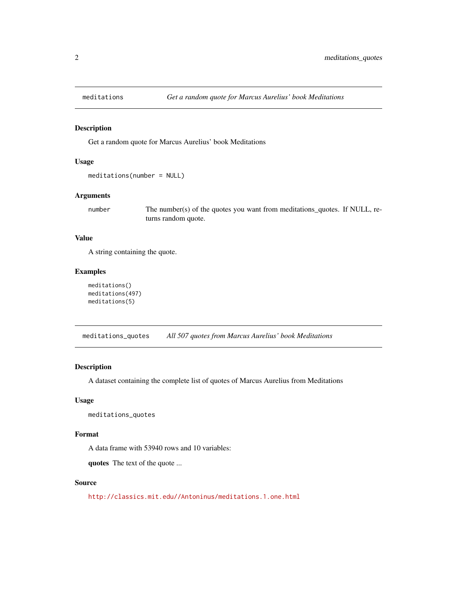<span id="page-1-0"></span>

#### Description

Get a random quote for Marcus Aurelius' book Meditations

#### Usage

```
meditations(number = NULL)
```
#### Arguments

number The number(s) of the quotes you want from meditations\_quotes. If NULL, returns random quote.

#### Value

A string containing the quote.

#### Examples

```
meditations()
meditations(497)
meditations(5)
```
meditations\_quotes *All 507 quotes from Marcus Aurelius' book Meditations*

#### Description

A dataset containing the complete list of quotes of Marcus Aurelius from Meditations

#### Usage

meditations\_quotes

#### Format

A data frame with 53940 rows and 10 variables:

quotes The text of the quote ...

#### Source

<http://classics.mit.edu//Antoninus/meditations.1.one.html>